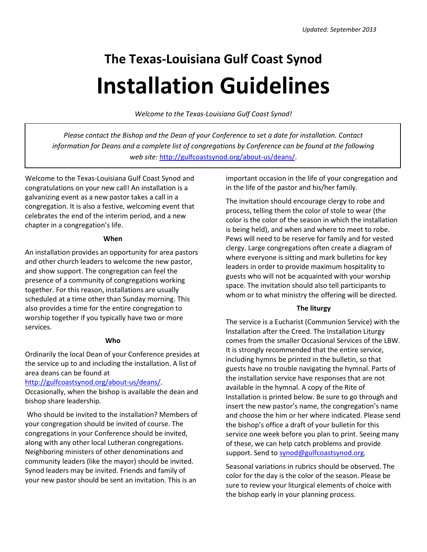# **The Texas-Louisiana Gulf Coast Synod Installation Guidelines**

*Welcome to the Texas-Louisiana Gulf Coast Synod!*

*Please contact the Bishop and the Dean of your Conference to set a date for installation. Contact information for Deans and a complete list of congregations by Conference can be found at the following web site:* [http://gulfcoastsynod.org/about-us/deans/.](http://gulfcoastsynod.org/about-us/deans/)

Welcome to the Texas-Louisiana Gulf Coast Synod and congratulations on your new call! An installation is a galvanizing event as a new pastor takes a call in a congregation. It is also a festive, welcoming event that celebrates the end of the interim period, and a new chapter in a congregation's life.

### **When**

An installation provides an opportunity for area pastors and other church leaders to welcome the new pastor, and show support. The congregation can feel the presence of a community of congregations working together. For this reason, installations are usually scheduled at a time other than Sunday morning. This also provides a time for the entire congregation to worship together if you typically have two or more services.

# **Who**

Ordinarily the local Dean of your Conference presides at the service up to and including the installation. A list of area deans can be found at

# <http://gulfcoastsynod.org/about-us/deans/>*.*

Occasionally, when the bishop is available the dean and bishop share leadership.

Who should be invited to the installation? Members of your congregation should be invited of course. The congregations in your Conference should be invited, along with any other local Lutheran congregations. Neighboring ministers of other denominations and community leaders (like the mayor) should be invited. Synod leaders may be invited. Friends and family of your new pastor should be sent an invitation. This is an

important occasion in the life of your congregation and in the life of the pastor and his/her family.

The invitation should encourage clergy to robe and process, telling them the color of stole to wear (the color is the color of the season in which the installation is being held), and when and where to meet to robe. Pews will need to be reserve for family and for vested clergy. Large congregations often create a diagram of where everyone is sitting and mark bulletins for key leaders in order to provide maximum hospitality to guests who will not be acquainted with your worship space. The invitation should also tell participants to whom or to what ministry the offering will be directed.

# **The liturgy**

The service is a Eucharist (Communion Service) with the Installation after the Creed. The Installation Liturgy comes from the smaller Occasional Services of the LBW. It is strongly recommended that the entire service, including hymns be printed in the bulletin, so that guests have no trouble navigating the hymnal. Parts of the installation service have responses that are not available in the hymnal. A copy of the Rite of Installation is printed below. Be sure to go through and insert the new pastor's name, the congregation's name and choose the him or her where indicated. Please send the bishop's office a draft of your bulletin for this service one week before you plan to print. Seeing many of these, we can help catch problems and provide support. Send to [synod@gulfcoastsynod.org](mailto:synod@gulfcoastsynod.org)*.*

Seasonal variations in rubrics should be observed. The color for the day is the color of the season. Please be sure to review your liturgical elements of choice with the bishop early in your planning process.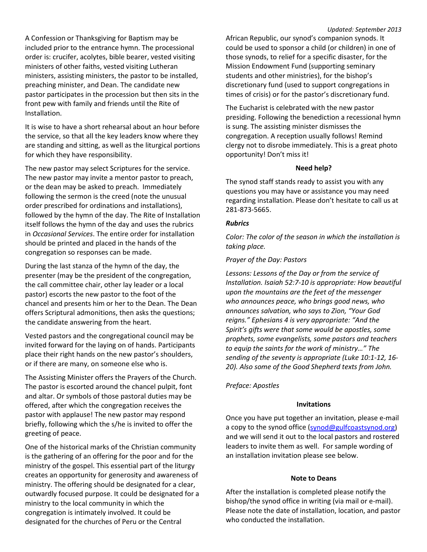A Confession or Thanksgiving for Baptism may be included prior to the entrance hymn. The processional order is: crucifer, acolytes, bible bearer, vested visiting ministers of other faiths, vested visiting Lutheran ministers, assisting ministers, the pastor to be installed, preaching minister, and Dean. The candidate new pastor participates in the procession but then sits in the front pew with family and friends until the Rite of Installation.

It is wise to have a short rehearsal about an hour before the service, so that all the key leaders know where they are standing and sitting, as well as the liturgical portions for which they have responsibility.

The new pastor may select Scriptures for the service. The new pastor may invite a mentor pastor to preach, or the dean may be asked to preach. Immediately following the sermon is the creed (note the unusual order prescribed for ordinations and installations), followed by the hymn of the day. The Rite of Installation itself follows the hymn of the day and uses the rubrics in *Occasional Services*. The entire order for installation should be printed and placed in the hands of the congregation so responses can be made.

During the last stanza of the hymn of the day, the presenter (may be the president of the congregation, the call committee chair, other lay leader or a local pastor) escorts the new pastor to the foot of the chancel and presents him or her to the Dean. The Dean offers Scriptural admonitions, then asks the questions; the candidate answering from the heart.

Vested pastors and the congregational council may be invited forward for the laying on of hands. Participants place their right hands on the new pastor's shoulders, or if there are many, on someone else who is.

The Assisting Minister offers the Prayers of the Church. The pastor is escorted around the chancel pulpit, font and altar. Or symbols of those pastoral duties may be offered, after which the congregation receives the pastor with applause! The new pastor may respond briefly, following which the s/he is invited to offer the greeting of peace.

One of the historical marks of the Christian community is the gathering of an offering for the poor and for the ministry of the gospel. This essential part of the liturgy creates an opportunity for generosity and awareness of ministry. The offering should be designated for a clear, outwardly focused purpose. It could be designated for a ministry to the local community in which the congregation is intimately involved. It could be designated for the churches of Peru or the Central

#### *Updated: September 2013*

African Republic, our synod's companion synods. It could be used to sponsor a child (or children) in one of those synods, to relief for a specific disaster, for the Mission Endowment Fund (supporting seminary students and other ministries), for the bishop's discretionary fund (used to support congregations in times of crisis) or for the pastor's discretionary fund.

The Eucharist is celebrated with the new pastor presiding. Following the benediction a recessional hymn is sung. The assisting minister dismisses the congregation. A reception usually follows! Remind clergy not to disrobe immediately. This is a great photo opportunity! Don't miss it!

#### **Need help?**

The synod staff stands ready to assist you with any questions you may have or assistance you may need regarding installation. Please don't hesitate to call us at 281-873-5665.

#### *Rubrics*

*Color: The color of the season in which the installation is taking place.*

### *Prayer of the Day: Pastors*

*Lessons: Lessons of the Day or from the service of Installation. Isaiah 52:7-10 is appropriate: How beautiful upon the mountains are the feet of the messenger who announces peace, who brings good news, who announces salvation, who says to Zion, "Your God reigns." Ephesians 4 is very appropriate: "And the Spirit's gifts were that some would be apostles, some prophets, some evangelists, some pastors and teachers to equip the saints for the work of ministry…" The sending of the seventy is appropriate (Luke 10:1-12, 16- 20). Also some of the Good Shepherd texts from John.*

### *Preface: Apostles*

### **Invitations**

Once you have put together an invitation, please e-mail a copy to the synod office [\(synod@gulfcoastsynod.org\)](mailto:synod@gulfcoastsynod.org) and we will send it out to the local pastors and rostered leaders to invite them as well. For sample wording of an installation invitation please see below.

#### **Note to Deans**

After the installation is completed please notify the bishop/the synod office in writing (via mail or e-mail). Please note the date of installation, location, and pastor who conducted the installation.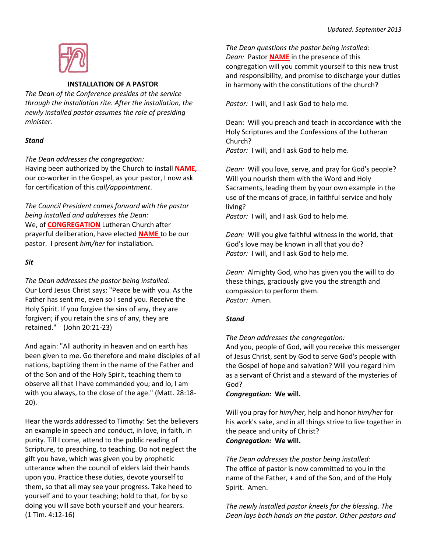

## **INSTALLATION OF A PASTOR**

*The Dean of the Conference presides at the service through the installation rite. After the installation, the newly installed pastor assumes the role of presiding minister.*

# *Stand*

*The Dean addresses the congregation:*

Having been authorized by the Church to install **NAME,**  our co-worker in the Gospel, as your pastor, I now ask for certification of this *call/appointment*.

*The Council President comes forward with the pastor being installed and addresses the Dean:* We, of **CONGREGATION** Lutheran Church after prayerful deliberation, have elected **NAME** to be our pastor. I present *him/her* for installation.

# *Sit*

*The Dean addresses the pastor being installed:* Our Lord Jesus Christ says: "Peace be with you. As the Father has sent me, even so I send you. Receive the Holy Spirit. If you forgive the sins of any, they are forgiven; if you retain the sins of any, they are retained." (John 20:21-23)

And again: "All authority in heaven and on earth has been given to me. Go therefore and make disciples of all nations, baptizing them in the name of the Father and of the Son and of the Holy Spirit, teaching them to observe all that I have commanded you; and lo, I am with you always, to the close of the age." (Matt. 28:18- 20).

Hear the words addressed to Timothy: Set the believers an example in speech and conduct, in love, in faith, in purity. Till I come, attend to the public reading of Scripture, to preaching, to teaching. Do not neglect the gift you have, which was given you by prophetic utterance when the council of elders laid their hands upon you. Practice these duties, devote yourself to them, so that all may see your progress. Take heed to yourself and to your teaching; hold to that, for by so doing you will save both yourself and your hearers. (1 Tim. 4:12-16)

*The Dean questions the pastor being installed: Dean:* Pastor **NAME** in the presence of this congregation will you commit yourself to this new trust and responsibility, and promise to discharge your duties in harmony with the constitutions of the church?

*Pastor:* I will, and I ask God to help me.

Dean: Will you preach and teach in accordance with the Holy Scriptures and the Confessions of the Lutheran Church? *Pastor:* I will, and I ask God to help me.

*Dean:* Will you love, serve, and pray for God's people? Will you nourish them with the Word and Holy Sacraments, leading them by your own example in the use of the means of grace, in faithful service and holy living?

*Pastor:* I will, and I ask God to help me.

*Dean:* Will you give faithful witness in the world, that God's love may be known in all that you do? *Pastor:* I will, and I ask God to help me.

*Dean:* Almighty God, who has given you the will to do these things, graciously give you the strength and compassion to perform them. *Pastor:* Amen.

# *Stand*

*The Dean addresses the congregation:*

And you, people of God, will you receive this messenger of Jesus Christ, sent by God to serve God's people with the Gospel of hope and salvation? Will you regard him as a servant of Christ and a steward of the mysteries of God?

*Congregation:* **We will.**

Will you pray for *him/her,* help and honor *him/her* for his work's sake, and in all things strive to live together in the peace and unity of Christ? *Congregation:* **We will.**

*The Dean addresses the pastor being installed:* The office of pastor is now committed to you in the name of the Father, **+** and of the Son, and of the Holy Spirit. Amen.

*The newly installed pastor kneels for the blessing. The Dean lays both hands on the pastor. Other pastors and*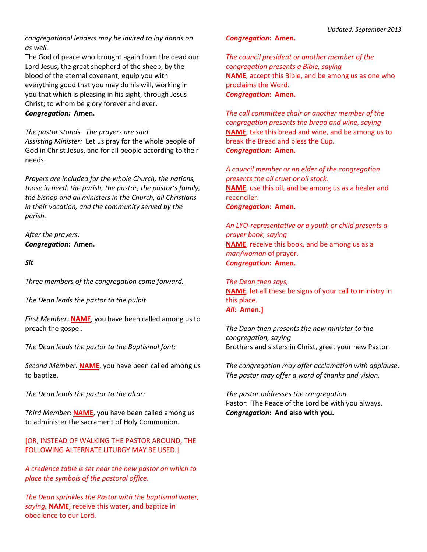*congregational leaders may be invited to lay hands on as well.*

The God of peace who brought again from the dead our Lord Jesus, the great shepherd of the sheep, by the blood of the eternal covenant, equip you with everything good that you may do his will, working in you that which is pleasing in his sight, through Jesus Christ; to whom be glory forever and ever.

*Congregation:* **Amen.**

*The pastor stands. The prayers are said.*

*Assisting Minister:* Let us pray for the whole people of God in Christ Jesus, and for all people according to their needs.

*Prayers are included for the whole Church, the nations, those in need, the parish, the pastor, the pastor's family, the bishop and all ministers in the Church, all Christians in their vocation, and the community served by the parish.*

*After the prayers: Congregation***: Amen.**

*Sit*

*Three members of the congregation come forward.* 

*The Dean leads the pastor to the pulpit.*

*First Member:* **NAME**, you have been called among us to preach the gospel.

*The Dean leads the pastor to the Baptismal font:* 

*Second Member:* **NAME**, you have been called among us to baptize.

*The Dean leads the pastor to the altar:*

*Third Member:* **NAME**, you have been called among us to administer the sacrament of Holy Communion.

[OR, INSTEAD OF WALKING THE PASTOR AROUND, THE FOLLOWING ALTERNATE LITURGY MAY BE USED.]

*A credence table is set near the new pastor on which to place the symbols of the pastoral office.*

*The Dean sprinkles the Pastor with the baptismal water, saying,* **NAME**, receive this water, and baptize in obedience to our Lord.

#### *Congregation***: Amen.**

*The council president or another member of the congregation presents a Bible, saying* **NAME**, accept this Bible, and be among us as one who proclaims the Word. *Congregation***: Amen.**

*The call committee chair or another member of the congregation presents the bread and wine, saying* **NAME**, take this bread and wine, and be among us to break the Bread and bless the Cup. *Congregation***: Amen.**

*A council member or an elder of the congregation presents the oil cruet or oil stock.* **NAME**, use this oil, and be among us as a healer and reconciler. *Congregation***: Amen.**

*An LYO-representative or a youth or child presents a prayer book, saying* **NAME**, receive this book, and be among us as a *man/woman* of prayer. *Congregation***: Amen.**

*The Dean then says,* **NAME**, let all these be signs of your call to ministry in this place. *All***: Amen.]**

*The Dean then presents the new minister to the congregation, saying* Brothers and sisters in Christ, greet your new Pastor.

*The congregation may offer acclamation with applause*. *The pastor may offer a word of thanks and vision.*

*The pastor addresses the congregation.* Pastor: The Peace of the Lord be with you always. *Congregation***: And also with you.**